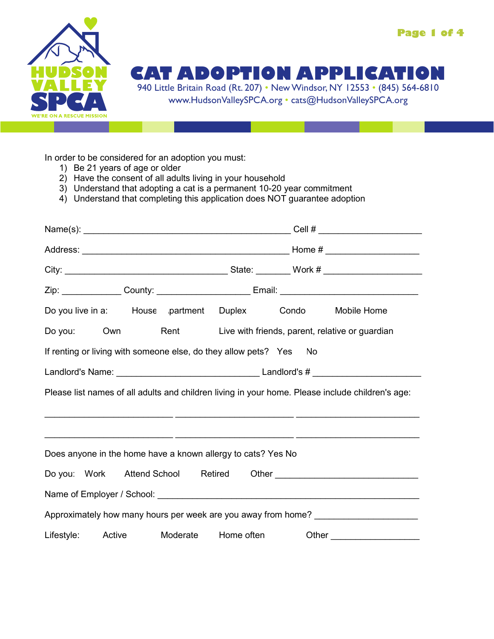



## **CAT ADOPTION APPLICATIO**

940 Little Britain Road (Rt. 207) • New Windsor, NY 12553 • (845) 564-6810 www.HudsonValleySPCA.org • cats@HudsonValleySPCA.org

In order to be considered for an adoption you must:

- 1) Be 21 years of age or older
- 2) Have the consent of all adults living in your household
- 3) Understand that adopting a cat is a permanent 10-20 year commitment
- 4) Understand that completing this application does NOT guarantee adoption

|                                                                    |  | Do you live in a: House partment Duplex Condo Mobile Home |                                                                                                  |
|--------------------------------------------------------------------|--|-----------------------------------------------------------|--------------------------------------------------------------------------------------------------|
|                                                                    |  |                                                           | Do you: Own Rent Live with friends, parent, relative or guardian                                 |
| If renting or living with someone else, do they allow pets? Yes No |  |                                                           |                                                                                                  |
|                                                                    |  |                                                           |                                                                                                  |
|                                                                    |  |                                                           | Please list names of all adults and children living in your home. Please include children's age: |
|                                                                    |  |                                                           |                                                                                                  |
| Does anyone in the home have a known allergy to cats? Yes No       |  |                                                           |                                                                                                  |
|                                                                    |  |                                                           |                                                                                                  |
|                                                                    |  |                                                           |                                                                                                  |
|                                                                    |  |                                                           | Approximately how many hours per week are you away from home? ___________________                |
|                                                                    |  |                                                           | Lifestyle: Active Moderate Home often Other Chere Check                                          |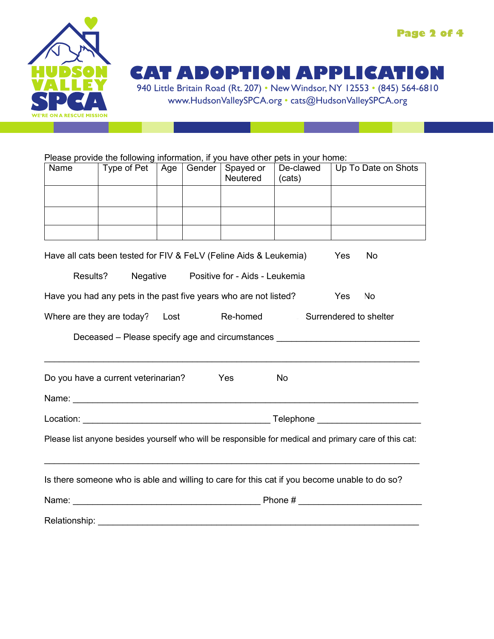

**CAT ADOPTION APPLICATION**

940 Little Britain Road (Rt. 207) • New Windsor, NY 12553 • (845) 564-6810 www.HudsonValleySPCA.org • cats@HudsonValleySPCA.org

Please provide the following information, if you have other pets in your home:

| Name | Type of Pet | Age $ $ | Gender   Spayed or<br>Neutered | De-clawed<br>(cats) | Up To Date on Shots |
|------|-------------|---------|--------------------------------|---------------------|---------------------|
|      |             |         |                                |                     |                     |
|      |             |         |                                |                     |                     |
|      |             |         |                                |                     |                     |

Have all cats been tested for FIV & FeLV (Feline Aids & Leukemia) Yes No

| Results? | Negative | Positive for - Aids - Leukemia |
|----------|----------|--------------------------------|
|----------|----------|--------------------------------|

| Have you had any pets in the past five years who are not listed? | Yes No |
|------------------------------------------------------------------|--------|
|------------------------------------------------------------------|--------|

Where are they are today? Lost Re-homed Surrendered to shelter

Deceased – Please specify age and circumstances

| Do you have a current veterinarian? | Yes | No |
|-------------------------------------|-----|----|
|                                     |     |    |

| <b>Felephone</b><br>Location: |
|-------------------------------|
|-------------------------------|

Please list anyone besides yourself who will be responsible for medical and primary care of this cat:

\_\_\_\_\_\_\_\_\_\_\_\_\_\_\_\_\_\_\_\_\_\_\_\_\_\_\_\_\_\_\_\_\_\_\_\_\_\_\_\_\_\_\_\_\_\_\_\_\_\_\_\_\_\_\_\_\_\_\_\_\_\_\_\_\_\_\_\_\_\_\_\_\_\_\_\_

Name: \_\_\_\_\_\_\_\_\_\_\_\_\_\_\_\_\_\_\_\_\_\_\_\_\_\_\_\_\_\_\_\_\_\_\_\_\_\_\_\_\_\_\_\_\_\_\_\_\_\_\_\_\_\_\_\_\_\_\_\_\_\_\_\_\_\_\_\_\_\_

\_\_\_\_\_\_\_\_\_\_\_\_\_\_\_\_\_\_\_\_\_\_\_\_\_\_\_\_\_\_\_\_\_\_\_\_\_\_\_\_\_\_\_\_\_\_\_\_\_\_\_\_\_\_\_\_\_\_\_\_\_\_\_\_\_\_\_\_\_\_\_\_\_\_\_\_

Is there someone who is able and willing to care for this cat if you become unable to do so?

| Name:         | Phone# |  |  |
|---------------|--------|--|--|
|               |        |  |  |
| Relationship: |        |  |  |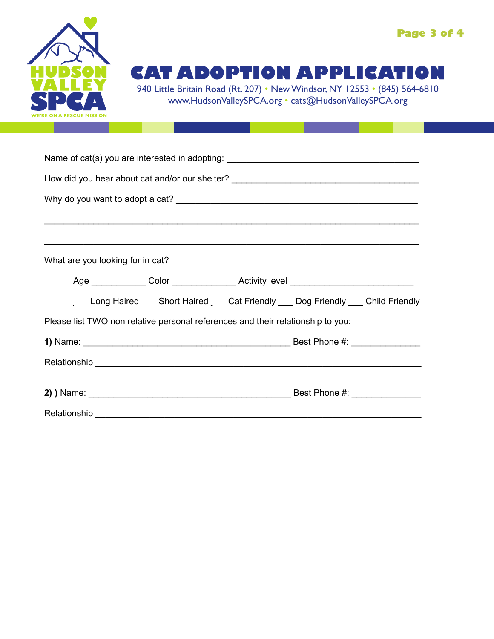

## **CAT ADOPTION APPLICATION**

940 Little Britain Road (Rt. 207) • New Windsor, NY 12553 • (845) 564-6810 www.HudsonValleySPCA.org • cats@HudsonValleySPCA.org

| Name of cat(s) you are interested in adopting: __________________________________                                                                                                                                              |
|--------------------------------------------------------------------------------------------------------------------------------------------------------------------------------------------------------------------------------|
| How did you hear about cat and/or our shelter? __________________________________                                                                                                                                              |
|                                                                                                                                                                                                                                |
|                                                                                                                                                                                                                                |
|                                                                                                                                                                                                                                |
| What are you looking for in cat?                                                                                                                                                                                               |
|                                                                                                                                                                                                                                |
| Long Haired Short Haired Cat Friendly Dog Friendly Child Friendly                                                                                                                                                              |
| Please list TWO non relative personal references and their relationship to you:                                                                                                                                                |
|                                                                                                                                                                                                                                |
|                                                                                                                                                                                                                                |
|                                                                                                                                                                                                                                |
|                                                                                                                                                                                                                                |
| Relationship experience and the contract of the contract of the contract of the contract of the contract of the contract of the contract of the contract of the contract of the contract of the contract of the contract of th |